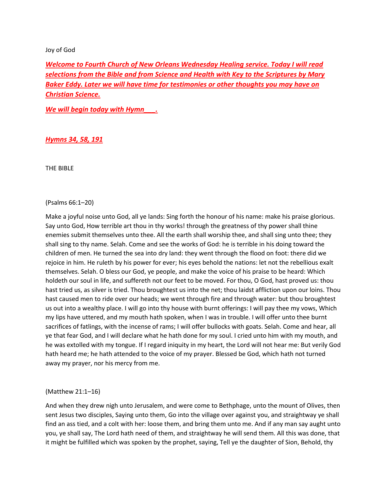## Joy of God

*Welcome to Fourth Church of New Orleans Wednesday Healing service. Today I will read selections from the Bible and from Science and Health with Key to the Scriptures by Mary Baker Eddy. Later we will have time for testimonies or other thoughts you may have on Christian Science.*

*We will begin today with Hymn\_\_\_.* 

# *Hymns 34, 58, 191*

THE BIBLE

## (Psalms 66:1–20)

Make a joyful noise unto God, all ye lands: Sing forth the honour of his name: make his praise glorious. Say unto God, How terrible art thou in thy works! through the greatness of thy power shall thine enemies submit themselves unto thee. All the earth shall worship thee, and shall sing unto thee; they shall sing to thy name. Selah. Come and see the works of God: he is terrible in his doing toward the children of men. He turned the sea into dry land: they went through the flood on foot: there did we rejoice in him. He ruleth by his power for ever; his eyes behold the nations: let not the rebellious exalt themselves. Selah. O bless our God, ye people, and make the voice of his praise to be heard: Which holdeth our soul in life, and suffereth not our feet to be moved. For thou, O God, hast proved us: thou hast tried us, as silver is tried. Thou broughtest us into the net; thou laidst affliction upon our loins. Thou hast caused men to ride over our heads; we went through fire and through water: but thou broughtest us out into a wealthy place. I will go into thy house with burnt offerings: I will pay thee my vows, Which my lips have uttered, and my mouth hath spoken, when I was in trouble. I will offer unto thee burnt sacrifices of fatlings, with the incense of rams; I will offer bullocks with goats. Selah. Come and hear, all ye that fear God, and I will declare what he hath done for my soul. I cried unto him with my mouth, and he was extolled with my tongue. If I regard iniquity in my heart, the Lord will not hear me: But verily God hath heard me; he hath attended to the voice of my prayer. Blessed be God, which hath not turned away my prayer, nor his mercy from me.

### (Matthew 21:1–16)

And when they drew nigh unto Jerusalem, and were come to Bethphage, unto the mount of Olives, then sent Jesus two disciples, Saying unto them, Go into the village over against you, and straightway ye shall find an ass tied, and a colt with her: loose them, and bring them unto me. And if any man say aught unto you, ye shall say, The Lord hath need of them, and straightway he will send them. All this was done, that it might be fulfilled which was spoken by the prophet, saying, Tell ye the daughter of Sion, Behold, thy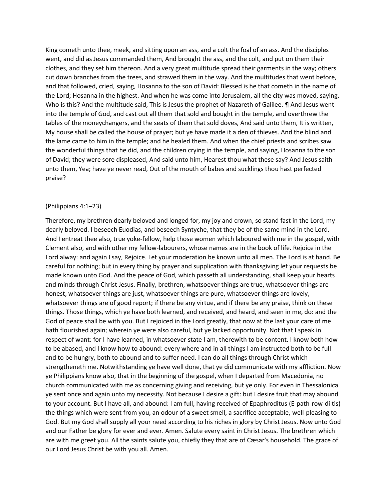King cometh unto thee, meek, and sitting upon an ass, and a colt the foal of an ass. And the disciples went, and did as Jesus commanded them, And brought the ass, and the colt, and put on them their clothes, and they set him thereon. And a very great multitude spread their garments in the way; others cut down branches from the trees, and strawed them in the way. And the multitudes that went before, and that followed, cried, saying, Hosanna to the son of David: Blessed is he that cometh in the name of the Lord; Hosanna in the highest. And when he was come into Jerusalem, all the city was moved, saying, Who is this? And the multitude said, This is Jesus the prophet of Nazareth of Galilee. ¶ And Jesus went into the temple of God, and cast out all them that sold and bought in the temple, and overthrew the tables of the moneychangers, and the seats of them that sold doves, And said unto them, It is written, My house shall be called the house of prayer; but ye have made it a den of thieves. And the blind and the lame came to him in the temple; and he healed them. And when the chief priests and scribes saw the wonderful things that he did, and the children crying in the temple, and saying, Hosanna to the son of David; they were sore displeased, And said unto him, Hearest thou what these say? And Jesus saith unto them, Yea; have ye never read, Out of the mouth of babes and sucklings thou hast perfected praise?

#### (Philippians 4:1–23)

Therefore, my brethren dearly beloved and longed for, my joy and crown, so stand fast in the Lord, my dearly beloved. I beseech Euodias, and beseech Syntyche, that they be of the same mind in the Lord. And I entreat thee also, true yoke-fellow, help those women which laboured with me in the gospel, with Clement also, and with other my fellow-labourers, whose names are in the book of life. Rejoice in the Lord alway: and again I say, Rejoice. Let your moderation be known unto all men. The Lord is at hand. Be careful for nothing; but in every thing by prayer and supplication with thanksgiving let your requests be made known unto God. And the peace of God, which passeth all understanding, shall keep your hearts and minds through Christ Jesus. Finally, brethren, whatsoever things are true, whatsoever things are honest, whatsoever things are just, whatsoever things are pure, whatsoever things are lovely, whatsoever things are of good report; if there be any virtue, and if there be any praise, think on these things. Those things, which ye have both learned, and received, and heard, and seen in me, do: and the God of peace shall be with you. But I rejoiced in the Lord greatly, that now at the last your care of me hath flourished again; wherein ye were also careful, but ye lacked opportunity. Not that I speak in respect of want: for I have learned, in whatsoever state I am, therewith to be content. I know both how to be abased, and I know how to abound: every where and in all things I am instructed both to be full and to be hungry, both to abound and to suffer need. I can do all things through Christ which strengtheneth me. Notwithstanding ye have well done, that ye did communicate with my affliction. Now ye Philippians know also, that in the beginning of the gospel, when I departed from Macedonia, no church communicated with me as concerning giving and receiving, but ye only. For even in Thessalonica ye sent once and again unto my necessity. Not because I desire a gift: but I desire fruit that may abound to your account. But I have all, and abound: I am full, having received of Epaphroditus (E-path-row-di tis) the things which were sent from you, an odour of a sweet smell, a sacrifice acceptable, well-pleasing to God. But my God shall supply all your need according to his riches in glory by Christ Jesus. Now unto God and our Father be glory for ever and ever. Amen. Salute every saint in Christ Jesus. The brethren which are with me greet you. All the saints salute you, chiefly they that are of Cæsar's household. The grace of our Lord Jesus Christ be with you all. Amen.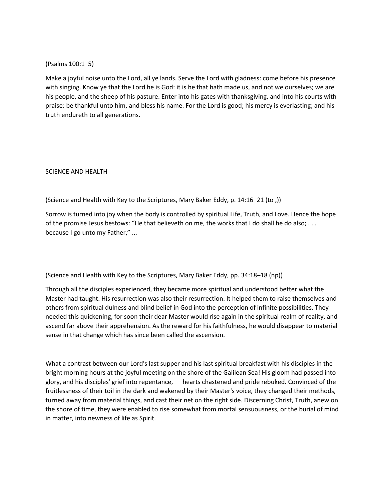# (Psalms 100:1–5)

Make a joyful noise unto the Lord, all ye lands. Serve the Lord with gladness: come before his presence with singing. Know ye that the Lord he is God: it is he that hath made us, and not we ourselves; we are his people, and the sheep of his pasture. Enter into his gates with thanksgiving, and into his courts with praise: be thankful unto him, and bless his name. For the Lord is good; his mercy is everlasting; and his truth endureth to all generations.

# SCIENCE AND HEALTH

(Science and Health with Key to the Scriptures, Mary Baker Eddy, p. 14:16–21 (to ,))

Sorrow is turned into joy when the body is controlled by spiritual Life, Truth, and Love. Hence the hope of the promise Jesus bestows: "He that believeth on me, the works that I do shall he do also; . . . because I go unto my Father," ...

(Science and Health with Key to the Scriptures, Mary Baker Eddy, pp. 34:18–18 (np))

Through all the disciples experienced, they became more spiritual and understood better what the Master had taught. His resurrection was also their resurrection. It helped them to raise themselves and others from spiritual dulness and blind belief in God into the perception of infinite possibilities. They needed this quickening, for soon their dear Master would rise again in the spiritual realm of reality, and ascend far above their apprehension. As the reward for his faithfulness, he would disappear to material sense in that change which has since been called the ascension.

What a contrast between our Lord's last supper and his last spiritual breakfast with his disciples in the bright morning hours at the joyful meeting on the shore of the Galilean Sea! His gloom had passed into glory, and his disciples' grief into repentance, — hearts chastened and pride rebuked. Convinced of the fruitlessness of their toil in the dark and wakened by their Master's voice, they changed their methods, turned away from material things, and cast their net on the right side. Discerning Christ, Truth, anew on the shore of time, they were enabled to rise somewhat from mortal sensuousness, or the burial of mind in matter, into newness of life as Spirit.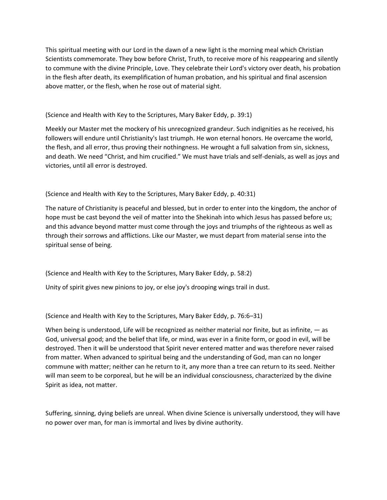This spiritual meeting with our Lord in the dawn of a new light is the morning meal which Christian Scientists commemorate. They bow before Christ, Truth, to receive more of his reappearing and silently to commune with the divine Principle, Love. They celebrate their Lord's victory over death, his probation in the flesh after death, its exemplification of human probation, and his spiritual and final ascension above matter, or the flesh, when he rose out of material sight.

(Science and Health with Key to the Scriptures, Mary Baker Eddy, p. 39:1)

Meekly our Master met the mockery of his unrecognized grandeur. Such indignities as he received, his followers will endure until Christianity's last triumph. He won eternal honors. He overcame the world, the flesh, and all error, thus proving their nothingness. He wrought a full salvation from sin, sickness, and death. We need "Christ, and him crucified." We must have trials and self-denials, as well as joys and victories, until all error is destroyed.

(Science and Health with Key to the Scriptures, Mary Baker Eddy, p. 40:31)

The nature of Christianity is peaceful and blessed, but in order to enter into the kingdom, the anchor of hope must be cast beyond the veil of matter into the Shekinah into which Jesus has passed before us; and this advance beyond matter must come through the joys and triumphs of the righteous as well as through their sorrows and afflictions. Like our Master, we must depart from material sense into the spiritual sense of being.

(Science and Health with Key to the Scriptures, Mary Baker Eddy, p. 58:2)

Unity of spirit gives new pinions to joy, or else joy's drooping wings trail in dust.

(Science and Health with Key to the Scriptures, Mary Baker Eddy, p. 76:6–31)

When being is understood, Life will be recognized as neither material nor finite, but as infinite,  $-$  as God, universal good; and the belief that life, or mind, was ever in a finite form, or good in evil, will be destroyed. Then it will be understood that Spirit never entered matter and was therefore never raised from matter. When advanced to spiritual being and the understanding of God, man can no longer commune with matter; neither can he return to it, any more than a tree can return to its seed. Neither will man seem to be corporeal, but he will be an individual consciousness, characterized by the divine Spirit as idea, not matter.

Suffering, sinning, dying beliefs are unreal. When divine Science is universally understood, they will have no power over man, for man is immortal and lives by divine authority.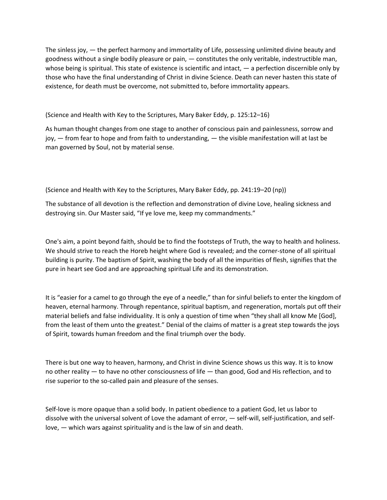The sinless joy, — the perfect harmony and immortality of Life, possessing unlimited divine beauty and goodness without a single bodily pleasure or pain, — constitutes the only veritable, indestructible man, whose being is spiritual. This state of existence is scientific and intact, — a perfection discernible only by those who have the final understanding of Christ in divine Science. Death can never hasten this state of existence, for death must be overcome, not submitted to, before immortality appears.

(Science and Health with Key to the Scriptures, Mary Baker Eddy, p. 125:12–16)

As human thought changes from one stage to another of conscious pain and painlessness, sorrow and joy,  $-$  from fear to hope and from faith to understanding,  $-$  the visible manifestation will at last be man governed by Soul, not by material sense.

(Science and Health with Key to the Scriptures, Mary Baker Eddy, pp. 241:19–20 (np))

The substance of all devotion is the reflection and demonstration of divine Love, healing sickness and destroying sin. Our Master said, "If ye love me, keep my commandments."

One's aim, a point beyond faith, should be to find the footsteps of Truth, the way to health and holiness. We should strive to reach the Horeb height where God is revealed; and the corner-stone of all spiritual building is purity. The baptism of Spirit, washing the body of all the impurities of flesh, signifies that the pure in heart see God and are approaching spiritual Life and its demonstration.

It is "easier for a camel to go through the eye of a needle," than for sinful beliefs to enter the kingdom of heaven, eternal harmony. Through repentance, spiritual baptism, and regeneration, mortals put off their material beliefs and false individuality. It is only a question of time when "they shall all know Me [God], from the least of them unto the greatest." Denial of the claims of matter is a great step towards the joys of Spirit, towards human freedom and the final triumph over the body.

There is but one way to heaven, harmony, and Christ in divine Science shows us this way. It is to know no other reality — to have no other consciousness of life — than good, God and His reflection, and to rise superior to the so-called pain and pleasure of the senses.

Self-love is more opaque than a solid body. In patient obedience to a patient God, let us labor to dissolve with the universal solvent of Love the adamant of error, — self-will, self-justification, and selflove, — which wars against spirituality and is the law of sin and death.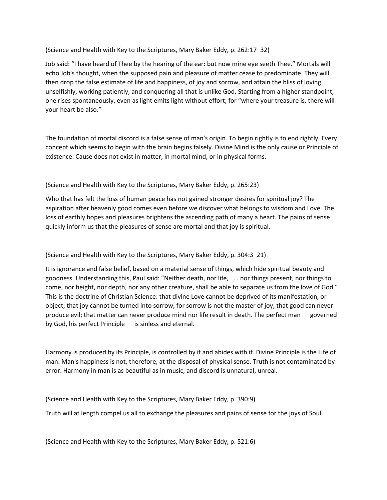(Science and Health with Key to the Scriptures, Mary Baker Eddy, p. 262:17–32)

Job said: "I have heard of Thee by the hearing of the ear: but now mine eye seeth Thee." Mortals will echo Job's thought, when the supposed pain and pleasure of matter cease to predominate. They will then drop the false estimate of life and happiness, of joy and sorrow, and attain the bliss of loving unselfishly, working patiently, and conquering all that is unlike God. Starting from a higher standpoint, one rises spontaneously, even as light emits light without effort; for "where your treasure is, there will your heart be also."

The foundation of mortal discord is a false sense of man's origin. To begin rightly is to end rightly. Every concept which seems to begin with the brain begins falsely. Divine Mind is the only cause or Principle of existence. Cause does not exist in matter, in mortal mind, or in physical forms.

(Science and Health with Key to the Scriptures, Mary Baker Eddy, p. 265:23)

Who that has felt the loss of human peace has not gained stronger desires for spiritual joy? The aspiration after heavenly good comes even before we discover what belongs to wisdom and Love. The loss of earthly hopes and pleasures brightens the ascending path of many a heart. The pains of sense quickly inform us that the pleasures of sense are mortal and that joy is spiritual.

(Science and Health with Key to the Scriptures, Mary Baker Eddy, p. 304:3–21)

It is ignorance and false belief, based on a material sense of things, which hide spiritual beauty and goodness. Understanding this, Paul said: "Neither death, nor life, . . . nor things present, nor things to come, nor height, nor depth, nor any other creature, shall be able to separate us from the love of God." This is the doctrine of Christian Science: that divine Love cannot be deprived of its manifestation, or object; that joy cannot be turned into sorrow, for sorrow is not the master of joy; that good can never produce evil; that matter can never produce mind nor life result in death. The perfect man — governed by God, his perfect Principle — is sinless and eternal.

Harmony is produced by its Principle, is controlled by it and abides with it. Divine Principle is the Life of man. Man's happiness is not, therefore, at the disposal of physical sense. Truth is not contaminated by error. Harmony in man is as beautiful as in music, and discord is unnatural, unreal.

(Science and Health with Key to the Scriptures, Mary Baker Eddy, p. 390:9)

Truth will at length compel us all to exchange the pleasures and pains of sense for the joys of Soul.

(Science and Health with Key to the Scriptures, Mary Baker Eddy, p. 521:6)